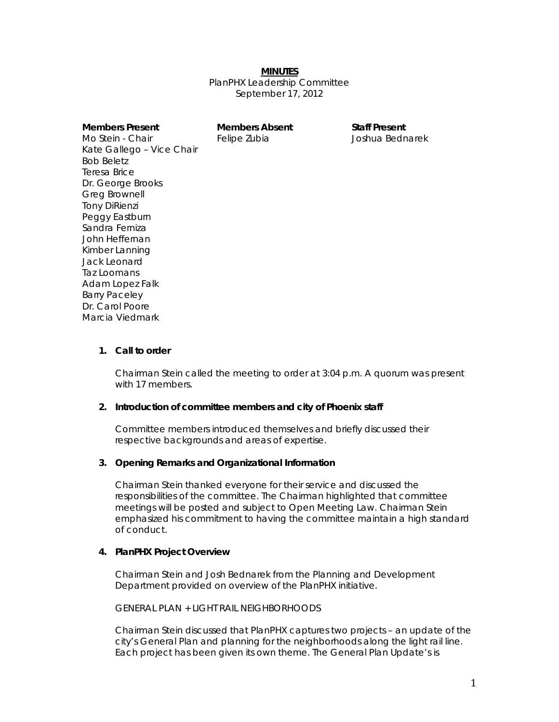#### *MINUTES*

PlanPHX Leadership Committee September 17, 2012

| Members Present           | <b>Members Abser</b> |
|---------------------------|----------------------|
| Mo Stein - Chair          | Felipe Zubia         |
| Kate Gallego - Vice Chair |                      |
| Bob Beletz                |                      |
| Teresa Brice              |                      |
| Dr. George Brooks         |                      |
| Greg Brownell             |                      |
| <b>Tony DiRienzi</b>      |                      |
| Peggy Eastburn            |                      |
| Sandra Ferniza            |                      |
| John Heffernan            |                      |
| Kimber Lanning            |                      |
| Jack Leonard              |                      |
| Taz Loomans               |                      |
| Adam Lopez Falk           |                      |
| <b>Barry Paceley</b>      |                      |
| Dr. Carol Poore           |                      |
| Marcia Viedmark           |                      |
|                           |                      |

**Members Present Members Absent Staff Present**  Joshua Bednarek

#### **1. Call to order**

Chairman Stein called the meeting to order at 3:04 p.m. A quorum was present with 17 members.

#### **2. Introduction of committee members and city of Phoenix staff**

Committee members introduced themselves and briefly discussed their respective backgrounds and areas of expertise.

#### **3. Opening Remarks and Organizational Information**

Chairman Stein thanked everyone for their service and discussed the responsibilities of the committee. The Chairman highlighted that committee meetings will be posted and subject to Open Meeting Law. Chairman Stein emphasized his commitment to having the committee maintain a high standard of conduct.

### **4. PlanPHX Project Overview**

Chairman Stein and Josh Bednarek from the Planning and Development Department provided on overview of the PlanPHX initiative.

## *GENERAL PLAN + LIGHT RAIL NEIGHBORHOODS*

Chairman Stein discussed that PlanPHX captures two projects – an update of the city's General Plan and planning for the neighborhoods along the light rail line. Each project has been given its own theme. The General Plan Update's is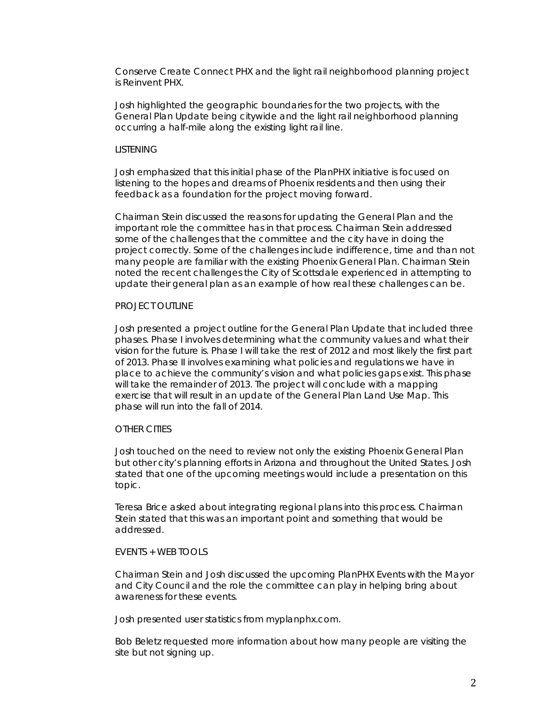Conserve Create Connect PHX and the light rail neighborhood planning project is Reinvent PHX.

Josh highlighted the geographic boundaries for the two projects, with the General Plan Update being citywide and the light rail neighborhood planning occurring a half-mile along the existing light rail line.

#### *LISTENING*

Josh emphasized that this initial phase of the PlanPHX initiative is focused on listening to the hopes and dreams of Phoenix residents and then using their feedback as a foundation for the project moving forward.

Chairman Stein discussed the reasons for updating the General Plan and the important role the committee has in that process. Chairman Stein addressed some of the challenges that the committee and the city have in doing the project correctly. Some of the challenges include indifference, time and than not many people are familiar with the existing Phoenix General Plan. Chairman Stein noted the recent challenges the City of Scottsdale experienced in attempting to update their general plan as an example of how real these challenges can be.

### *PROJECT OUTLINE*

Josh presented a project outline for the General Plan Update that included three phases. Phase I involves determining what the community values and what their vision for the future is. Phase I will take the rest of 2012 and most likely the first part of 2013. Phase II involves examining what policies and regulations we have in place to achieve the community's vision and what policies gaps exist. This phase will take the remainder of 2013. The project will conclude with a mapping exercise that will result in an update of the General Plan Land Use Map. This phase will run into the fall of 2014.

#### *OTHER CITIES*

Josh touched on the need to review not only the existing Phoenix General Plan but other city's planning efforts in Arizona and throughout the United States. Josh stated that one of the upcoming meetings would include a presentation on this topic.

Teresa Brice asked about integrating regional plans into this process. Chairman Stein stated that this was an important point and something that would be addressed.

### *EVENTS + WEB TOOLS*

Chairman Stein and Josh discussed the upcoming PlanPHX Events with the Mayor and City Council and the role the committee can play in helping bring about awareness for these events.

Josh presented user statistics from myplanphx.com.

Bob Beletz requested more information about how many people are visiting the site but not signing up.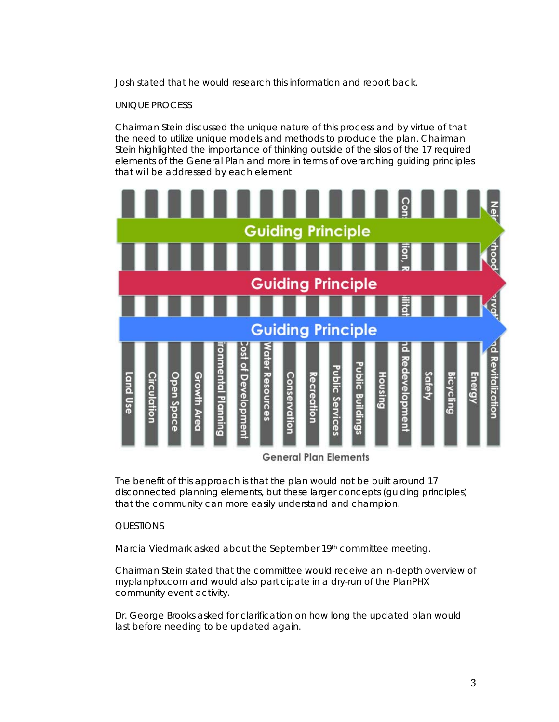Josh stated that he would research this information and report back.

### *UNIQUE PROCESS*

Chairman Stein discussed the unique nature of this process and by virtue of that the need to utilize unique models and methods to produce the plan. Chairman Stein highlighted the importance of thinking outside of the silos of the 17 required elements of the General Plan and more in terms of overarching guiding principles that will be addressed by each element.



The benefit of this approach is that the plan would not be built around 17 disconnected planning elements, but these larger concepts (guiding principles) that the community can more easily understand and champion.

#### *QUESTIONS*

Marcia Viedmark asked about the September 19th committee meeting.

Chairman Stein stated that the committee would receive an in-depth overview of myplanphx.com and would also participate in a dry-run of the PlanPHX community event activity.

Dr. George Brooks asked for clarification on how long the updated plan would last before needing to be updated again.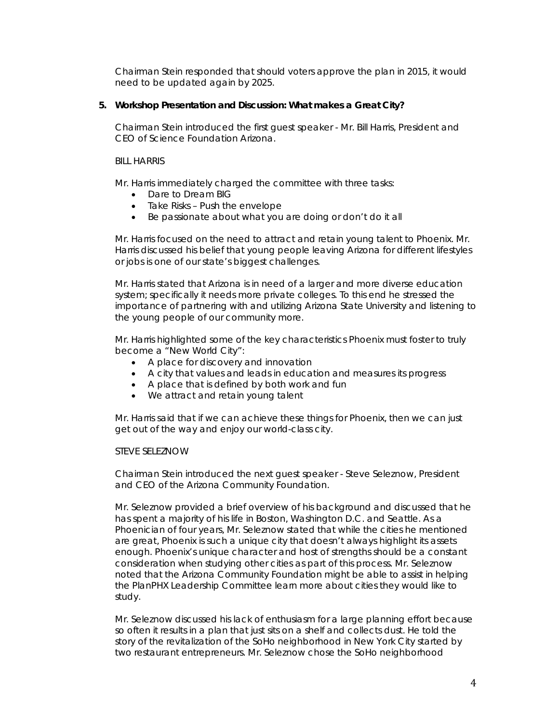Chairman Stein responded that should voters approve the plan in 2015, it would need to be updated again by 2025.

## **5. Workshop Presentation and Discussion:** *What makes a Great City***?**

Chairman Stein introduced the first guest speaker - Mr. Bill Harris, President and CEO of Science Foundation Arizona.

## *BILL HARRIS*

Mr. Harris immediately charged the committee with three tasks:

- Dare to Dream BIG
- Take Risks Push the envelope
- Be passionate about what you are doing or don't do it all

Mr. Harris focused on the need to attract and retain young talent to Phoenix. Mr. Harris discussed his belief that young people leaving Arizona for different lifestyles or jobs is one of our state's biggest challenges.

Mr. Harris stated that Arizona is in need of a larger and more diverse education system; specifically it needs more private colleges. To this end he stressed the importance of partnering with and utilizing Arizona State University and listening to the young people of our community more.

Mr. Harris highlighted some of the key characteristics Phoenix must foster to truly become a "New World City":

- A place for discovery and innovation
- A city that values and leads in education and measures its progress
- A place that is defined by both work and fun
- We attract and retain young talent

Mr. Harris said that if we can achieve these things for Phoenix, then we can just get out of the way and enjoy our world-class city.

### *STEVE SELEZNOW*

Chairman Stein introduced the next guest speaker - Steve Seleznow, President and CEO of the Arizona Community Foundation.

Mr. Seleznow provided a brief overview of his background and discussed that he has spent a majority of his life in Boston, Washington D.C. and Seattle. As a Phoenician of four years, Mr. Seleznow stated that while the cities he mentioned are great, Phoenix is such a unique city that doesn't always highlight its assets enough. Phoenix's unique character and host of strengths should be a constant consideration when studying other cities as part of this process. Mr. Seleznow noted that the Arizona Community Foundation might be able to assist in helping the PlanPHX Leadership Committee learn more about cities they would like to study.

Mr. Seleznow discussed his lack of enthusiasm for a large planning effort because so often it results in a plan that just sits on a shelf and collects dust. He told the story of the revitalization of the SoHo neighborhood in New York City started by two restaurant entrepreneurs. Mr. Seleznow chose the SoHo neighborhood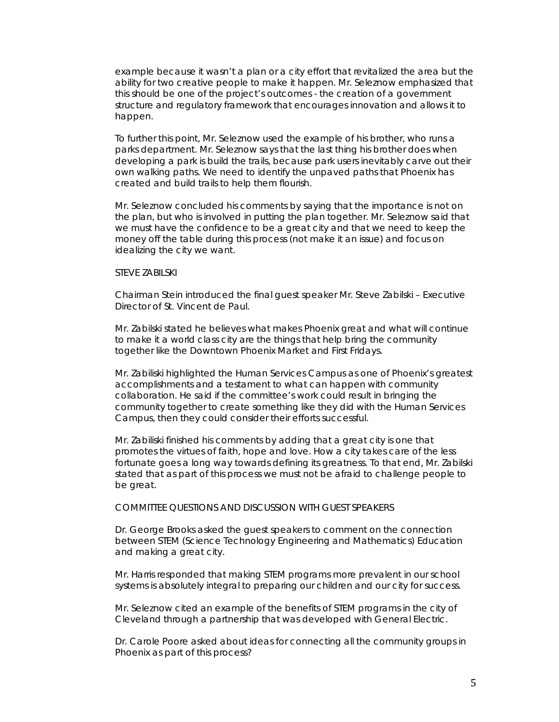example because it wasn't a plan or a city effort that revitalized the area but the ability for two creative people to make it happen. Mr. Seleznow emphasized that this should be one of the project's outcomes - the creation of a government structure and regulatory framework that encourages innovation and allows it to happen.

To further this point, Mr. Seleznow used the example of his brother, who runs a parks department. Mr. Seleznow says that the last thing his brother does when developing a park is build the trails, because park users inevitably carve out their own walking paths. We need to identify the unpaved paths that Phoenix has created and build trails to help them flourish.

Mr. Seleznow concluded his comments by saying that the importance is not on the plan, but who is involved in putting the plan together. Mr. Seleznow said that we must have the confidence to be a great city and that we need to keep the money off the table during this process (not make it an issue) and focus on idealizing the city we want.

### *STEVE ZABILSKI*

Chairman Stein introduced the final guest speaker Mr. Steve Zabilski – Executive Director of St. Vincent de Paul.

Mr. Zabilski stated he believes what makes Phoenix great and what will continue to make it a world class city are the things that help bring the community together like the Downtown Phoenix Market and First Fridays.

Mr. Zabiliski highlighted the Human Services Campus as one of Phoenix's greatest accomplishments and a testament to what can happen with community collaboration. He said if the committee's work could result in bringing the community together to create something like they did with the Human Services Campus, then they could consider their efforts successful.

Mr. Zabiliski finished his comments by adding that a great city is one that promotes the virtues of faith, hope and love. How a city takes care of the less fortunate goes a long way towards defining its greatness. To that end, Mr. Zabilski stated that as part of this process we must not be afraid to challenge people to be great.

### *COMMITTEE QUESTIONS AND DISCUSSION WITH GUEST SPEAKERS*

Dr. George Brooks asked the guest speakers to comment on the connection between STEM (Science Technology Engineering and Mathematics) Education and making a great city.

Mr. Harris responded that making STEM programs more prevalent in our school systems is absolutely integral to preparing our children and our city for success.

Mr. Seleznow cited an example of the benefits of STEM programs in the city of Cleveland through a partnership that was developed with General Electric.

Dr. Carole Poore asked about ideas for connecting all the community groups in Phoenix as part of this process?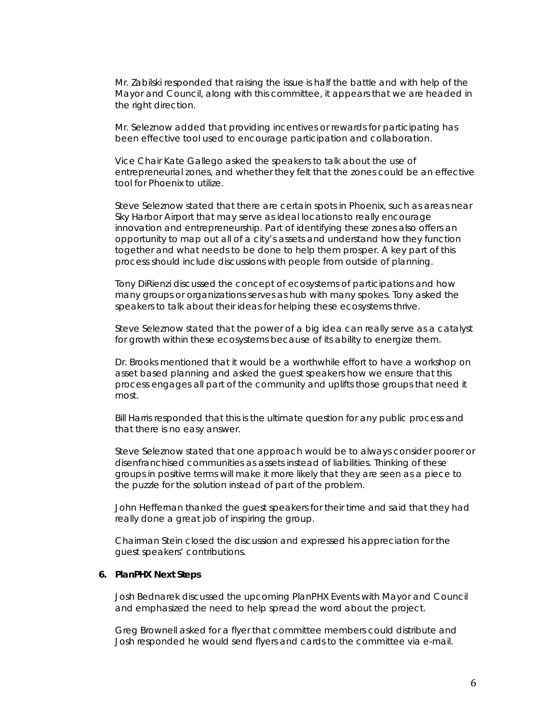Mr. Zabilski responded that raising the issue is half the battle and with help of the Mayor and Council, along with this committee, it appears that we are headed in the right direction.

Mr. Seleznow added that providing incentives or rewards for participating has been effective tool used to encourage participation and collaboration.

Vice Chair Kate Gallego asked the speakers to talk about the use of entrepreneurial zones, and whether they felt that the zones could be an effective tool for Phoenix to utilize.

Steve Seleznow stated that there are certain spots in Phoenix, such as areas near Sky Harbor Airport that may serve as ideal locations to really encourage innovation and entrepreneurship. Part of identifying these zones also offers an opportunity to map out all of a city's assets and understand how they function together and what needs to be done to help them prosper. A key part of this process should include discussions with people from outside of planning.

Tony DiRienzi discussed the concept of ecosystems of participations and how many groups or organizations serves as hub with many spokes. Tony asked the speakers to talk about their ideas for helping these ecosystems thrive.

Steve Seleznow stated that the power of a big idea can really serve as a catalyst for growth within these ecosystems because of its ability to energize them.

Dr. Brooks mentioned that it would be a worthwhile effort to have a workshop on asset based planning and asked the guest speakers how we ensure that this process engages all part of the community and uplifts those groups that need it most.

Bill Harris responded that this is the ultimate question for any public process and that there is no easy answer.

Steve Seleznow stated that one approach would be to always consider poorer or disenfranchised communities as assets instead of liabilities. Thinking of these groups in positive terms will make it more likely that they are seen as a piece to the puzzle for the solution instead of part of the problem.

John Heffernan thanked the guest speakers for their time and said that they had really done a great job of inspiring the group.

Chairman Stein closed the discussion and expressed his appreciation for the guest speakers' contributions.

#### **6. PlanPHX Next Steps**

Josh Bednarek discussed the upcoming PlanPHX Events with Mayor and Council and emphasized the need to help spread the word about the project.

Greg Brownell asked for a flyer that committee members could distribute and Josh responded he would send flyers and cards to the committee via e-mail.